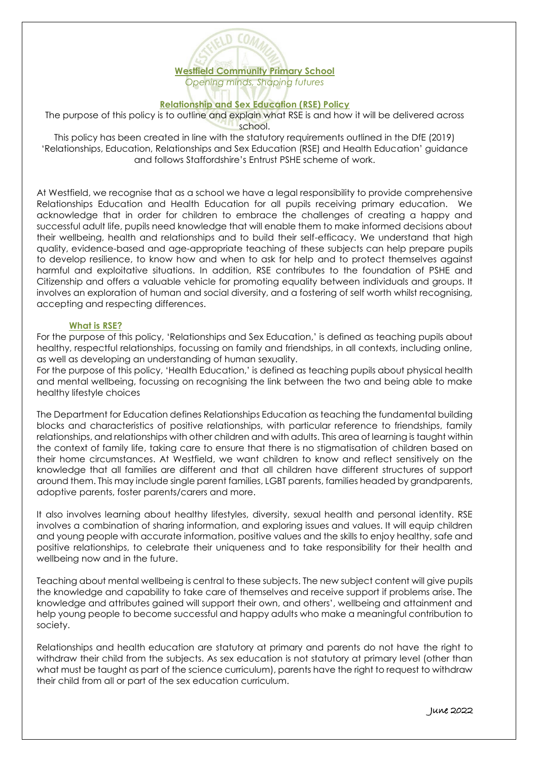

# **Relationship and Sex Education (RSE) Policy**

The purpose of this policy is to outline and explain what RSE is and how it will be delivered across school.

This policy has been created in line with the statutory requirements outlined in the DfE (2019) 'Relationships, Education, Relationships and Sex Education (RSE) and Health Education' guidance and follows Staffordshire's Entrust PSHE scheme of work.

At Westfield, we recognise that as a school we have a legal responsibility to provide comprehensive Relationships Education and Health Education for all pupils receiving primary education. We acknowledge that in order for children to embrace the challenges of creating a happy and successful adult life, pupils need knowledge that will enable them to make informed decisions about their wellbeing, health and relationships and to build their self-efficacy. We understand that high quality, evidence-based and age-appropriate teaching of these subjects can help prepare pupils to develop resilience, to know how and when to ask for help and to protect themselves against harmful and exploitative situations. In addition, RSE contributes to the foundation of PSHE and Citizenship and offers a valuable vehicle for promoting equality between individuals and groups. It involves an exploration of human and social diversity, and a fostering of self worth whilst recognising, accepting and respecting differences.

#### **What is RSE?**

For the purpose of this policy, 'Relationships and Sex Education,' is defined as teaching pupils about healthy, respectful relationships, focussing on family and friendships, in all contexts, including online, as well as developing an understanding of human sexuality.

For the purpose of this policy, 'Health Education,' is defined as teaching pupils about physical health and mental wellbeing, focussing on recognising the link between the two and being able to make healthy lifestyle choices

The Department for Education defines Relationships Education as teaching the fundamental building blocks and characteristics of positive relationships, with particular reference to friendships, family relationships, and relationships with other children and with adults. This area of learning is taught within the context of family life, taking care to ensure that there is no stigmatisation of children based on their home circumstances. At Westfield, we want children to know and reflect sensitively on the knowledge that all families are different and that all children have different structures of support around them. This may include single parent families, LGBT parents, families headed by grandparents, adoptive parents, foster parents/carers and more.

It also involves learning about healthy lifestyles, diversity, sexual health and personal identity. RSE involves a combination of sharing information, and exploring issues and values. It will equip children and young people with accurate information, positive values and the skills to enjoy healthy, safe and positive relationships, to celebrate their uniqueness and to take responsibility for their health and wellbeing now and in the future.

Teaching about mental wellbeing is central to these subjects. The new subject content will give pupils the knowledge and capability to take care of themselves and receive support if problems arise. The knowledge and attributes gained will support their own, and others', wellbeing and attainment and help young people to become successful and happy adults who make a meaningful contribution to society.

Relationships and health education are statutory at primary and parents do not have the right to withdraw their child from the subjects. As sex education is not statutory at primary level (other than what must be taught as part of the science curriculum), parents have the right to request to withdraw their child from all or part of the sex education curriculum.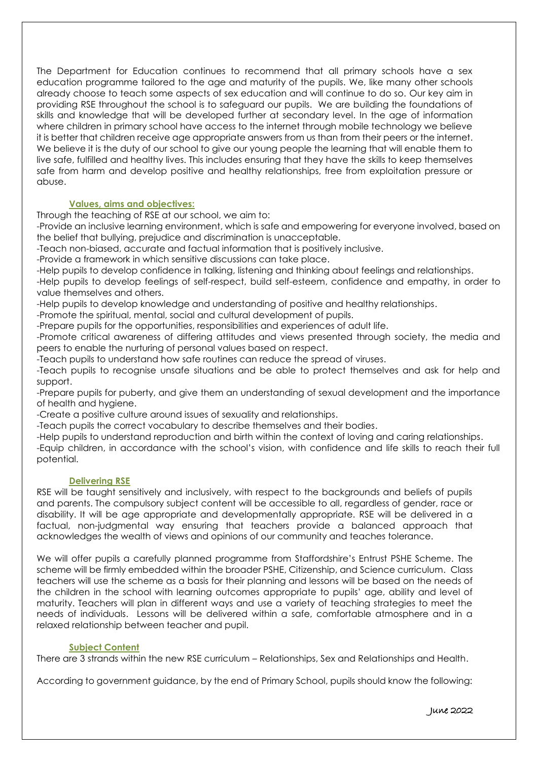The Department for Education continues to recommend that all primary schools have a sex education programme tailored to the age and maturity of the pupils. We, like many other schools already choose to teach some aspects of sex education and will continue to do so. Our key aim in providing RSE throughout the school is to safeguard our pupils. We are building the foundations of skills and knowledge that will be developed further at secondary level. In the age of information where children in primary school have access to the internet through mobile technology we believe it is better that children receive age appropriate answers from us than from their peers or the internet. We believe it is the duty of our school to give our young people the learning that will enable them to live safe, fulfilled and healthy lives. This includes ensuring that they have the skills to keep themselves safe from harm and develop positive and healthy relationships, free from exploitation pressure or abuse.

# **Values, aims and objectives:**

Through the teaching of RSE at our school, we aim to:

-Provide an inclusive learning environment, which is safe and empowering for everyone involved, based on the belief that bullying, prejudice and discrimination is unacceptable.

-Teach non-biased, accurate and factual information that is positively inclusive.

-Provide a framework in which sensitive discussions can take place.

-Help pupils to develop confidence in talking, listening and thinking about feelings and relationships.

-Help pupils to develop feelings of self-respect, build self-esteem, confidence and empathy, in order to value themselves and others.

-Help pupils to develop knowledge and understanding of positive and healthy relationships.

-Promote the spiritual, mental, social and cultural development of pupils.

-Prepare pupils for the opportunities, responsibilities and experiences of adult life.

-Promote critical awareness of differing attitudes and views presented through society, the media and peers to enable the nurturing of personal values based on respect.

-Teach pupils to understand how safe routines can reduce the spread of viruses.

-Teach pupils to recognise unsafe situations and be able to protect themselves and ask for help and support.

-Prepare pupils for puberty, and give them an understanding of sexual development and the importance of health and hygiene.

-Create a positive culture around issues of sexuality and relationships.

-Teach pupils the correct vocabulary to describe themselves and their bodies.

-Help pupils to understand reproduction and birth within the context of loving and caring relationships.

-Equip children, in accordance with the school's vision, with confidence and life skills to reach their full potential.

## **Delivering RSE**

RSE will be taught sensitively and inclusively, with respect to the backgrounds and beliefs of pupils and parents. The compulsory subject content will be accessible to all, regardless of gender, race or disability. It will be age appropriate and developmentally appropriate. RSE will be delivered in a factual, non-judgmental way ensuring that teachers provide a balanced approach that acknowledges the wealth of views and opinions of our community and teaches tolerance.

We will offer pupils a carefully planned programme from Staffordshire's Entrust PSHE Scheme. The scheme will be firmly embedded within the broader PSHE, Citizenship, and Science curriculum. Class teachers will use the scheme as a basis for their planning and lessons will be based on the needs of the children in the school with learning outcomes appropriate to pupils' age, ability and level of maturity. Teachers will plan in different ways and use a variety of teaching strategies to meet the needs of individuals. Lessons will be delivered within a safe, comfortable atmosphere and in a relaxed relationship between teacher and pupil.

## **Subject Content**

There are 3 strands within the new RSE curriculum – Relationships, Sex and Relationships and Health.

According to government guidance, by the end of Primary School, pupils should know the following: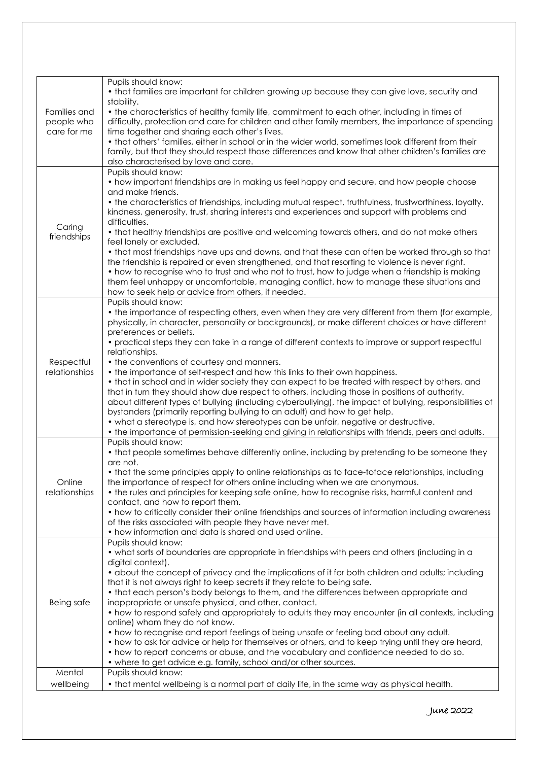| Families and<br>people who<br>care for me | Pupils should know:<br>• that families are important for children growing up because they can give love, security and<br>stability.<br>• the characteristics of healthy family life, commitment to each other, including in times of<br>difficulty, protection and care for children and other family members, the importance of spending<br>time together and sharing each other's lives.<br>• that others' families, either in school or in the wider world, sometimes look different from their<br>family, but that they should respect those differences and know that other children's families are<br>also characterised by love and care.                                                                                                                                                                                                                                                                                                                                                                                                                                                          |
|-------------------------------------------|-----------------------------------------------------------------------------------------------------------------------------------------------------------------------------------------------------------------------------------------------------------------------------------------------------------------------------------------------------------------------------------------------------------------------------------------------------------------------------------------------------------------------------------------------------------------------------------------------------------------------------------------------------------------------------------------------------------------------------------------------------------------------------------------------------------------------------------------------------------------------------------------------------------------------------------------------------------------------------------------------------------------------------------------------------------------------------------------------------------|
| Caring<br>friendships                     | Pupils should know:<br>• how important friendships are in making us feel happy and secure, and how people choose<br>and make friends.<br>• the characteristics of friendships, including mutual respect, truthfulness, trustworthiness, loyalty,<br>kindness, generosity, trust, sharing interests and experiences and support with problems and<br>difficulties.<br>• that healthy friendships are positive and welcoming towards others, and do not make others<br>feel lonely or excluded.<br>• that most friendships have ups and downs, and that these can often be worked through so that<br>the friendship is repaired or even strengthened, and that resorting to violence is never right.<br>• how to recognise who to trust and who not to trust, how to judge when a friendship is making<br>them feel unhappy or uncomfortable, managing conflict, how to manage these situations and<br>how to seek help or advice from others, if needed.                                                                                                                                                   |
| Respectful<br>relationships               | Pupils should know:<br>• the importance of respecting others, even when they are very different from them (for example,<br>physically, in character, personality or backgrounds), or make different choices or have different<br>preferences or beliefs.<br>• practical steps they can take in a range of different contexts to improve or support respectful<br>relationships.<br>• the conventions of courtesy and manners.<br>• the importance of self-respect and how this links to their own happiness.<br>• that in school and in wider society they can expect to be treated with respect by others, and<br>that in turn they should show due respect to others, including those in positions of authority.<br>about different types of bullying (including cyberbullying), the impact of bullying, responsibilities of<br>bystanders (primarily reporting bullying to an adult) and how to get help.<br>• what a stereotype is, and how stereotypes can be unfair, negative or destructive.<br>• the importance of permission-seeking and giving in relationships with friends, peers and adults. |
| Online<br>relationships                   | Pupils should know:<br>• that people sometimes behave differently online, including by pretending to be someone they<br>are not.<br>• that the same principles apply to online relationships as to face-toface relationships, including<br>the importance of respect for others online including when we are anonymous.<br>• the rules and principles for keeping safe online, how to recognise risks, harmful content and<br>contact, and how to report them.<br>• how to critically consider their online friendships and sources of information including awareness<br>of the risks associated with people they have never met.<br>• how information and data is shared and used online.                                                                                                                                                                                                                                                                                                                                                                                                               |
| <b>Being safe</b>                         | Pupils should know:<br>• what sorts of boundaries are appropriate in friendships with peers and others (including in a<br>digital context).<br>• about the concept of privacy and the implications of it for both children and adults; including<br>that it is not always right to keep secrets if they relate to being safe.<br>• that each person's body belongs to them, and the differences between appropriate and<br>inappropriate or unsafe physical, and other, contact.<br>• how to respond safely and appropriately to adults they may encounter (in all contexts, including<br>online) whom they do not know.<br>• how to recognise and report feelings of being unsafe or feeling bad about any adult.<br>• how to ask for advice or help for themselves or others, and to keep trying until they are heard,<br>• how to report concerns or abuse, and the vocabulary and confidence needed to do so.<br>• where to get advice e.g. family, school and/or other sources.                                                                                                                      |
| Mental                                    | Pupils should know:                                                                                                                                                                                                                                                                                                                                                                                                                                                                                                                                                                                                                                                                                                                                                                                                                                                                                                                                                                                                                                                                                       |
| wellbeing                                 | • that mental wellbeing is a normal part of daily life, in the same way as physical health.                                                                                                                                                                                                                                                                                                                                                                                                                                                                                                                                                                                                                                                                                                                                                                                                                                                                                                                                                                                                               |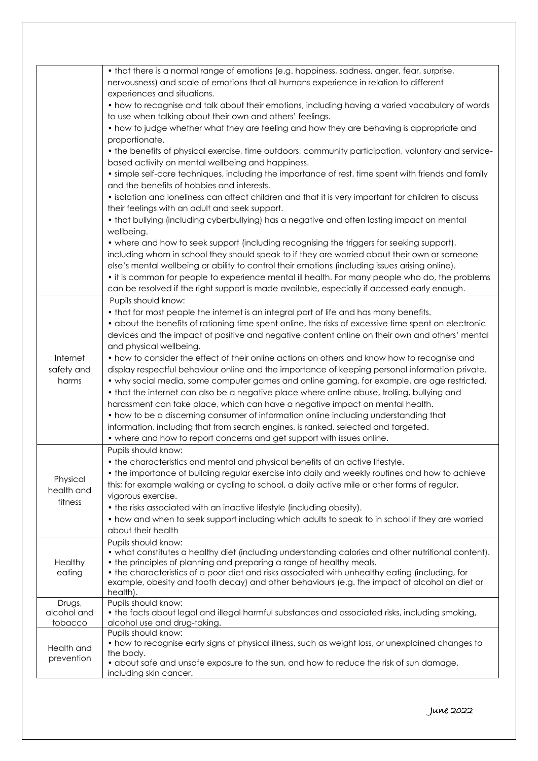|                                                                                                                                                           | • that there is a normal range of emotions (e.g. happiness, sadness, anger, fear, surprise,<br>nervousness) and scale of emotions that all humans experience in relation to different<br>experiences and situations.                                                                                                    |  |
|-----------------------------------------------------------------------------------------------------------------------------------------------------------|-------------------------------------------------------------------------------------------------------------------------------------------------------------------------------------------------------------------------------------------------------------------------------------------------------------------------|--|
|                                                                                                                                                           | • how to recognise and talk about their emotions, including having a varied vocabulary of words<br>to use when talking about their own and others' feelings.                                                                                                                                                            |  |
|                                                                                                                                                           | . how to judge whether what they are feeling and how they are behaving is appropriate and<br>proportionate.                                                                                                                                                                                                             |  |
|                                                                                                                                                           | • the benefits of physical exercise, time outdoors, community participation, voluntary and service-<br>based activity on mental wellbeing and happiness.                                                                                                                                                                |  |
|                                                                                                                                                           | • simple self-care techniques, including the importance of rest, time spent with friends and family<br>and the benefits of hobbies and interests.                                                                                                                                                                       |  |
|                                                                                                                                                           | · isolation and loneliness can affect children and that it is very important for children to discuss<br>their feelings with an adult and seek support.                                                                                                                                                                  |  |
|                                                                                                                                                           | • that bullying (including cyberbullying) has a negative and often lasting impact on mental<br>wellbeing.                                                                                                                                                                                                               |  |
|                                                                                                                                                           | • where and how to seek support (including recognising the triggers for seeking support),<br>including whom in school they should speak to if they are worried about their own or someone                                                                                                                               |  |
|                                                                                                                                                           | else's mental wellbeing or ability to control their emotions (including issues arising online).<br>• it is common for people to experience mental ill health. For many people who do, the problems                                                                                                                      |  |
|                                                                                                                                                           | can be resolved if the right support is made available, especially if accessed early enough.                                                                                                                                                                                                                            |  |
|                                                                                                                                                           | Pupils should know:<br>• that for most people the internet is an integral part of life and has many benefits.<br>• about the benefits of rationing time spent online, the risks of excessive time spent on electronic<br>devices and the impact of positive and negative content online on their own and others' mental |  |
| Internet                                                                                                                                                  | and physical wellbeing.<br>• how to consider the effect of their online actions on others and know how to recognise and                                                                                                                                                                                                 |  |
| safety and                                                                                                                                                | display respectful behaviour online and the importance of keeping personal information private.                                                                                                                                                                                                                         |  |
| harms                                                                                                                                                     | • why social media, some computer games and online gaming, for example, are age restricted.<br>• that the internet can also be a negative place where online abuse, trolling, bullying and                                                                                                                              |  |
|                                                                                                                                                           | harassment can take place, which can have a negative impact on mental health.                                                                                                                                                                                                                                           |  |
|                                                                                                                                                           | • how to be a discerning consumer of information online including understanding that                                                                                                                                                                                                                                    |  |
|                                                                                                                                                           | information, including that from search engines, is ranked, selected and targeted.                                                                                                                                                                                                                                      |  |
|                                                                                                                                                           | • where and how to report concerns and get support with issues online.<br>Pupils should know:                                                                                                                                                                                                                           |  |
|                                                                                                                                                           | • the characteristics and mental and physical benefits of an active lifestyle.                                                                                                                                                                                                                                          |  |
|                                                                                                                                                           | • the importance of building regular exercise into daily and weekly routines and how to achieve                                                                                                                                                                                                                         |  |
| Physical<br>health and                                                                                                                                    | this; for example walking or cycling to school, a daily active mile or other forms of regular,                                                                                                                                                                                                                          |  |
| fitness                                                                                                                                                   | vigorous exercise.                                                                                                                                                                                                                                                                                                      |  |
|                                                                                                                                                           | • the risks associated with an inactive lifestyle (including obesity).                                                                                                                                                                                                                                                  |  |
|                                                                                                                                                           | • how and when to seek support including which adults to speak to in school if they are worried<br>about their health                                                                                                                                                                                                   |  |
|                                                                                                                                                           | Pupils should know:                                                                                                                                                                                                                                                                                                     |  |
|                                                                                                                                                           | • what constitutes a healthy diet (including understanding calories and other nutritional content).                                                                                                                                                                                                                     |  |
| Healthy                                                                                                                                                   | • the principles of planning and preparing a range of healthy meals.                                                                                                                                                                                                                                                    |  |
| eating                                                                                                                                                    | • the characteristics of a poor diet and risks associated with unhealthy eating (including, for<br>example, obesity and tooth decay) and other behaviours (e.g. the impact of alcohol on diet or                                                                                                                        |  |
|                                                                                                                                                           | health).                                                                                                                                                                                                                                                                                                                |  |
| Drugs,                                                                                                                                                    | Pupils should know:                                                                                                                                                                                                                                                                                                     |  |
| alcohol and<br>• the facts about legal and illegal harmful substances and associated risks, including smoking,<br>tobacco<br>alcohol use and drug-taking. |                                                                                                                                                                                                                                                                                                                         |  |
|                                                                                                                                                           | Pupils should know:                                                                                                                                                                                                                                                                                                     |  |
| Health and<br>prevention                                                                                                                                  | • how to recognise early signs of physical illness, such as weight loss, or unexplained changes to<br>the body.                                                                                                                                                                                                         |  |
|                                                                                                                                                           | • about safe and unsafe exposure to the sun, and how to reduce the risk of sun damage,<br>including skin cancer.                                                                                                                                                                                                        |  |
|                                                                                                                                                           |                                                                                                                                                                                                                                                                                                                         |  |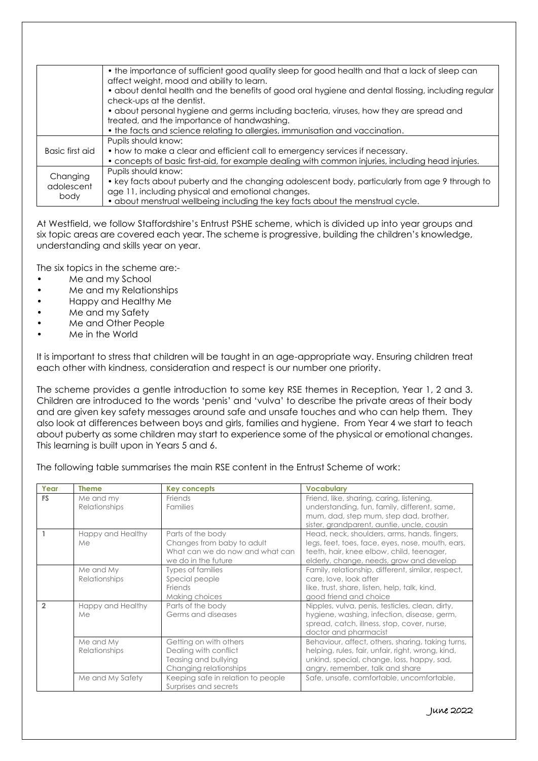|                                | • the importance of sufficient good quality sleep for good health and that a lack of sleep can<br>affect weight, mood and ability to learn. |
|--------------------------------|---------------------------------------------------------------------------------------------------------------------------------------------|
|                                | • about dental health and the benefits of good oral hygiene and dental flossing, including regular<br>check-ups at the dentist.             |
|                                | • about personal hygiene and germs including bacteria, viruses, how they are spread and<br>treated, and the importance of handwashing.      |
|                                | • the facts and science relating to allergies, immunisation and vaccination.                                                                |
|                                | Pupils should know:                                                                                                                         |
| Basic first aid                | • how to make a clear and efficient call to emergency services if necessary.                                                                |
|                                | • concepts of basic first-aid, for example dealing with common injuries, including head injuries.                                           |
| Changing<br>adolescent<br>body | Pupils should know:                                                                                                                         |
|                                | • key facts about puberty and the changing adolescent body, particularly from age 9 through to                                              |
|                                | age 11, including physical and emotional changes.                                                                                           |
|                                | • about menstrual wellbeing including the key facts about the menstrual cycle.                                                              |

At Westfield, we follow Staffordshire's Entrust PSHE scheme, which is divided up into year groups and six topic areas are covered each year. The scheme is progressive, building the children's knowledge, understanding and skills year on year.

The six topics in the scheme are:-

- Me and my School
- Me and my Relationships
- Happy and Healthy Me
- Me and my Safety
- Me and Other People
- Me in the World

It is important to stress that children will be taught in an age-appropriate way. Ensuring children treat each other with kindness, consideration and respect is our number one priority.

The scheme provides a gentle introduction to some key RSE themes in Reception, Year 1, 2 and 3. Children are introduced to the words 'penis' and 'vulva' to describe the private areas of their body and are given key safety messages around safe and unsafe touches and who can help them. They also look at differences between boys and girls, families and hygiene. From Year 4 we start to teach about puberty as some children may start to experience some of the physical or emotional changes. This learning is built upon in Years 5 and 6.

The following table summarises the main RSE content in the Entrust Scheme of work:

| Year           | <b>Theme</b>                      | <b>Key concepts</b>                                                                                       | <b>Vocabulary</b>                                                                                                                                                                         |
|----------------|-----------------------------------|-----------------------------------------------------------------------------------------------------------|-------------------------------------------------------------------------------------------------------------------------------------------------------------------------------------------|
| <b>FS</b>      | Me and my<br>Relationships        | Friends<br>Families                                                                                       | Friend, like, sharing, caring, listening,<br>understanding, fun, family, different, same,<br>mum, dad, step mum, step dad, brother,<br>sister, grandparent, auntie, uncle, cousin         |
|                | Happy and Healthy<br>Me           | Parts of the body<br>Changes from baby to adult<br>What can we do now and what can<br>we do in the future | Head, neck, shoulders, arms, hands, fingers,<br>legs, feet, toes, face, eyes, nose, mouth, ears,<br>teeth, hair, knee elbow, child, teenager,<br>elderly, change, needs, grow and develop |
|                | Me and My<br><b>Relationships</b> | <b>Types of families</b><br>Special people<br>Friends<br>Making choices                                   | Family, relationship, different, similar, respect,<br>care, love, look after<br>like, trust, share, listen, help, talk, kind,<br>good friend and choice                                   |
| $\overline{2}$ | Happy and Healthy<br>Me           | Parts of the body<br>Germs and diseases                                                                   | Nipples, vulva, penis, testicles, clean, dirty,<br>hygiene, washing, infection, disease, germ,<br>spread, catch, illness, stop, cover, nurse,<br>doctor and pharmacist                    |
|                | Me and My<br>Relationships        | Getting on with others<br>Dealing with conflict<br>Teasing and bullying<br>Changing relationships         | Behaviour, affect, others, sharing, taking turns,<br>helping, rules, fair, unfair, right, wrong, kind,<br>unkind, special, change, loss, happy, sad,<br>angry, remember, talk and share   |
|                | Me and My Safety                  | Keeping safe in relation to people<br>Surprises and secrets                                               | Safe, unsafe, comfortable, uncomfortable,                                                                                                                                                 |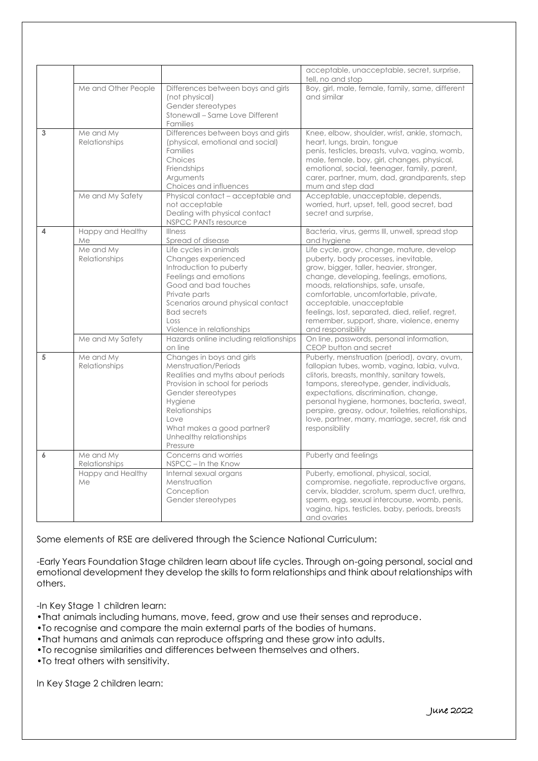|          |                            |                                                                                                                                                                                                                                                          | acceptable, unacceptable, secret, surprise,<br>tell, no and stop                                                                                                                                                                                                                                                                                                                                                |
|----------|----------------------------|----------------------------------------------------------------------------------------------------------------------------------------------------------------------------------------------------------------------------------------------------------|-----------------------------------------------------------------------------------------------------------------------------------------------------------------------------------------------------------------------------------------------------------------------------------------------------------------------------------------------------------------------------------------------------------------|
|          | Me and Other People        | Differences between boys and girls<br>(not physical)<br>Gender stereotypes<br>Stonewall - Same Love Different<br><b>Families</b>                                                                                                                         | Boy, girl, male, female, family, same, different<br>and similar                                                                                                                                                                                                                                                                                                                                                 |
| 3        | Me and My<br>Relationships | Differences between boys and girls<br>(physical, emotional and social)<br>Families<br>Choices<br>Friendships<br>Arguments<br>Choices and influences                                                                                                      | Knee, elbow, shoulder, wrist, ankle, stomach,<br>heart, lungs, brain, tongue<br>penis, testicles, breasts, vulva, vagina, womb,<br>male, female, boy, girl, changes, physical,<br>emotional, social, teenager, family, parent,<br>carer, partner, mum, dad, grandparents, step<br>mum and step dad                                                                                                              |
|          | Me and My Safety           | Physical contact - acceptable and<br>not acceptable<br>Dealing with physical contact<br>NSPCC PANTs resource                                                                                                                                             | Acceptable, unacceptable, depends,<br>worried, hurt, upset, tell, good secret, bad<br>secret and surprise,                                                                                                                                                                                                                                                                                                      |
| $\Delta$ | Happy and Healthy<br>Me    | Illness<br>Spread of disease                                                                                                                                                                                                                             | Bacteria, virus, germs III, unwell, spread stop<br>and hygiene                                                                                                                                                                                                                                                                                                                                                  |
|          | Me and My<br>Relationships | Life cycles in animals<br>Changes experienced<br>Introduction to puberty<br>Feelings and emotions<br>Good and bad touches<br>Private parts<br>Scenarios around physical contact<br><b>Bad secrets</b><br>Loss<br>Violence in relationships               | Life cycle, grow, change, mature, develop<br>puberty, body processes, inevitable,<br>grow, bigger, taller, heavier, stronger,<br>change, developing, feelings, emotions,<br>moods, relationships, safe, unsafe,<br>comfortable, uncomfortable, private,<br>acceptable, unacceptable<br>feelings, lost, separated, died, relief, regret,<br>remember, support, share, violence, enemy<br>and responsibility      |
|          | Me and My Safety           | Hazards online including relationships<br>on line                                                                                                                                                                                                        | On line, passwords, personal information,<br>CEOP button and secret                                                                                                                                                                                                                                                                                                                                             |
| 5        | Me and My<br>Relationships | Changes in boys and girls<br>Menstruation/Periods<br>Realities and myths about periods<br>Provision in school for periods<br>Gender stereotypes<br>Hygiene<br>Relationships<br>Love<br>What makes a good partner?<br>Unhealthy relationships<br>Pressure | Puberty, menstruation (period), ovary, ovum,<br>fallopian tubes, womb, vagina, labia, vulva,<br>clitoris, breasts, monthly, sanitary towels,<br>tampons, stereotype, gender, individuals,<br>expectations, discrimination, change,<br>personal hygiene, hormones, bacteria, sweat,<br>perspire, greasy, odour, toiletries, relationships,<br>love, partner, marry, marriage, secret, risk and<br>responsibility |
| 6        | Me and My<br>Relationships | Concerns and worries<br>NSPCC – In the Know                                                                                                                                                                                                              | Puberty and feelings                                                                                                                                                                                                                                                                                                                                                                                            |
|          | Happy and Healthy<br>Me    | Internal sexual organs<br>Menstruation<br>Conception<br>Gender stereotypes                                                                                                                                                                               | Puberty, emotional, physical, social,<br>compromise, negotiate, reproductive organs,<br>cervix, bladder, scrotum, sperm duct, urethra,<br>sperm, egg, sexual intercourse, womb, penis,<br>vagina, hips, testicles, baby, periods, breasts<br>and ovaries                                                                                                                                                        |

Some elements of RSE are delivered through the Science National Curriculum:

-Early Years Foundation Stage children learn about life cycles. Through on-going personal, social and emotional development they develop the skills to form relationships and think about relationships with others.

-In Key Stage 1 children learn:

- •That animals including humans, move, feed, grow and use their senses and reproduce.
- •To recognise and compare the main external parts of the bodies of humans.
- •That humans and animals can reproduce offspring and these grow into adults.
- •To recognise similarities and differences between themselves and others.
- •To treat others with sensitivity.

In Key Stage 2 children learn: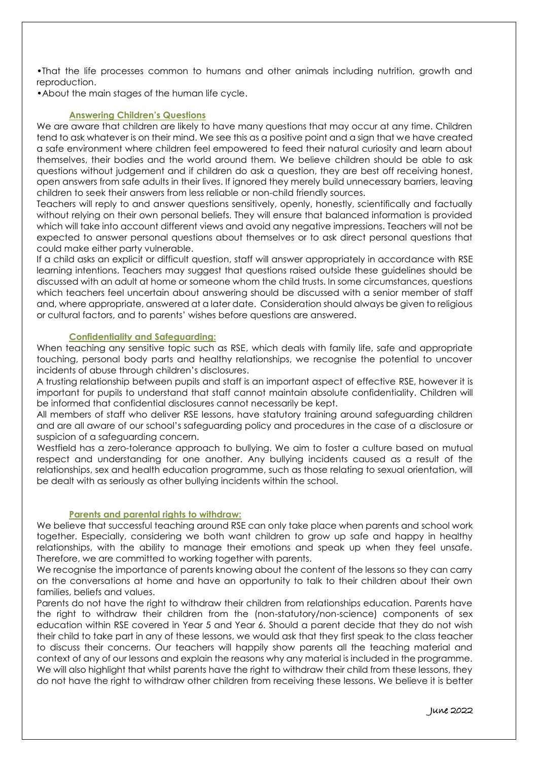•That the life processes common to humans and other animals including nutrition, growth and reproduction.

•About the main stages of the human life cycle.

### **Answering Children's Questions**

We are aware that children are likely to have many questions that may occur at any time. Children tend to ask whatever is on their mind. We see this as a positive point and a sign that we have created a safe environment where children feel empowered to feed their natural curiosity and learn about themselves, their bodies and the world around them. We believe children should be able to ask questions without judgement and if children do ask a question, they are best off receiving honest, open answers from safe adults in their lives. If ignored they merely build unnecessary barriers, leaving children to seek their answers from less reliable or non-child friendly sources.

Teachers will reply to and answer questions sensitively, openly, honestly, scientifically and factually without relying on their own personal beliefs. They will ensure that balanced information is provided which will take into account different views and avoid any negative impressions. Teachers will not be expected to answer personal questions about themselves or to ask direct personal questions that could make either party vulnerable.

If a child asks an explicit or difficult question, staff will answer appropriately in accordance with RSE learning intentions. Teachers may suggest that questions raised outside these guidelines should be discussed with an adult at home or someone whom the child trusts. In some circumstances, questions which teachers feel uncertain about answering should be discussed with a senior member of staff and, where appropriate, answered at a later date. Consideration should always be given to religious or cultural factors, and to parents' wishes before questions are answered.

### **Confidentiality and Safeguarding:**

When teaching any sensitive topic such as RSE, which deals with family life, safe and appropriate touching, personal body parts and healthy relationships, we recognise the potential to uncover incidents of abuse through children's disclosures.

A trusting relationship between pupils and staff is an important aspect of effective RSE, however it is important for pupils to understand that staff cannot maintain absolute confidentiality. Children will be informed that confidential disclosures cannot necessarily be kept.

All members of staff who deliver RSE lessons, have statutory training around safeguarding children and are all aware of our school's safeguarding policy and procedures in the case of a disclosure or suspicion of a safeguarding concern.

Westfield has a zero-tolerance approach to bullying. We aim to foster a culture based on mutual respect and understanding for one another. Any bullying incidents caused as a result of the relationships, sex and health education programme, such as those relating to sexual orientation, will be dealt with as seriously as other bullying incidents within the school.

#### **Parents and parental rights to withdraw:**

We believe that successful teaching around RSE can only take place when parents and school work together. Especially, considering we both want children to grow up safe and happy in healthy relationships, with the ability to manage their emotions and speak up when they feel unsafe. Therefore, we are committed to working together with parents.

We recognise the importance of parents knowing about the content of the lessons so they can carry on the conversations at home and have an opportunity to talk to their children about their own families, beliefs and values.

Parents do not have the right to withdraw their children from relationships education. Parents have the right to withdraw their children from the (non-statutory/non-science) components of sex education within RSE covered in Year 5 and Year 6. Should a parent decide that they do not wish their child to take part in any of these lessons, we would ask that they first speak to the class teacher to discuss their concerns. Our teachers will happily show parents all the teaching material and context of any of our lessons and explain the reasons why any material is included in the programme. We will also highlight that whilst parents have the right to withdraw their child from these lessons, they do not have the right to withdraw other children from receiving these lessons. We believe it is better